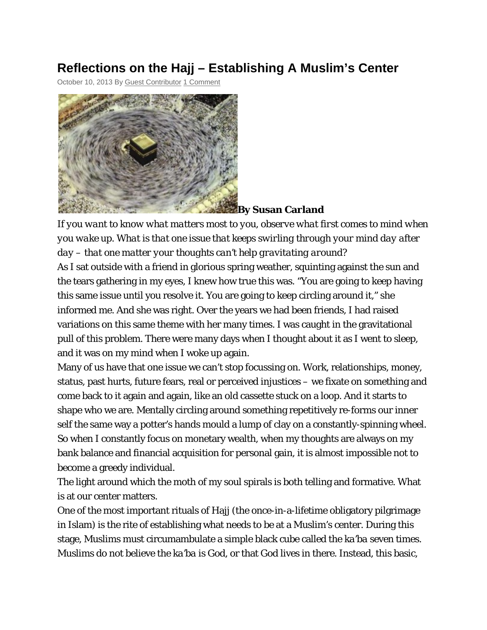## **Reflections on the Hajj – Establishing A Muslim's Center**

October 10, 2013 By Guest Contributor 1 Comment



*If you want to know what matters most to you, observe what first comes to mind when you wake up. What is that one issue that keeps swirling through your mind day after day – that one matter your thoughts can't help gravitating around?*

As I sat outside with a friend in glorious spring weather, squinting against the sun and the tears gathering in my eyes, I knew how true this was. "You are going to keep having this same issue until you resolve it. You are going to keep circling around it," she informed me. And she was right. Over the years we had been friends, I had raised variations on this same theme with her many times. I was caught in the gravitational pull of this problem. There were many days when I thought about it as I went to sleep, and it was on my mind when I woke up again.

Many of us have that one issue we can't stop focussing on. Work, relationships, money, status, past hurts, future fears, real or perceived injustices – we fixate on something and come back to it again and again, like an old cassette stuck on a loop. And it starts to shape who we are. Mentally circling around something repetitively re-forms our inner self the same way a potter's hands mould a lump of clay on a constantly-spinning wheel. So when I constantly focus on monetary wealth, when my thoughts are always on my bank balance and financial acquisition for personal gain, it is almost impossible not to become a greedy individual.

The light around which the moth of my soul spirals is both telling and formative. What is at our center matters.

One of the most important rituals of Hajj (the once-in-a-lifetime obligatory pilgrimage in Islam) is the rite of establishing what needs to be at a Muslim's center. During this stage, Muslims must circumambulate a simple black cube called the *ka'ba* seven times. Muslims do not believe the *ka'ba* is God, or that God lives in there. Instead, this basic,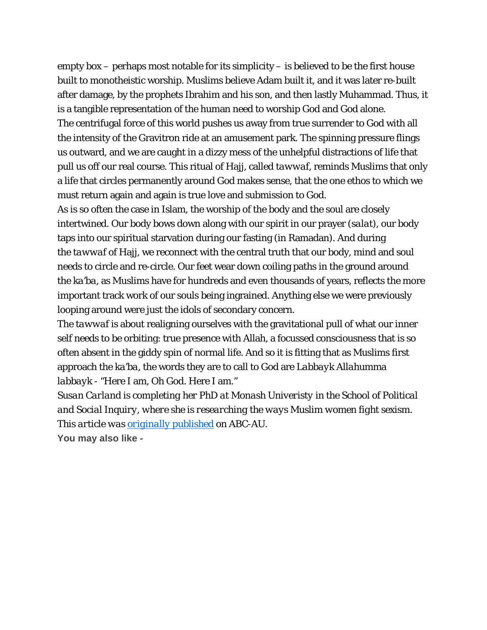empty box – perhaps most notable for its simplicity – is believed to be the first house built to monotheistic worship. Muslims believe Adam built it, and it was later re-built after damage, by the prophets Ibrahim and his son, and then lastly Muhammad. Thus, it is a tangible representation of the human need to worship God and God alone. The centrifugal force of this world pushes us away from true surrender to God with all the intensity of the Gravitron ride at an amusement park. The spinning pressure flings us outward, and we are caught in a dizzy mess of the unhelpful distractions of life that pull us off our real course. This ritual of Hajj, called *tawwaf*, reminds Muslims that only a life that circles permanently around God makes sense, that the one ethos to which we must return again and again is true love and submission to God.

As is so often the case in Islam, the worship of the body and the soul are closely intertwined. Our body bows down along with our spirit in our prayer (*salat*), our body taps into our spiritual starvation during our fasting (in Ramadan). And during the *tawwaf* of Hajj, we reconnect with the central truth that our body, mind and soul needs to circle and re-circle. Our feet wear down coiling paths in the ground around the *ka'ba*, as Muslims have for hundreds and even thousands of years, reflects the more important track work of our souls being ingrained. Anything else we were previously looping around were just the idols of secondary concern.

The *tawwaf* is about realigning ourselves with the gravitational pull of what our inner self needs to be orbiting: true presence with Allah, a focussed consciousness that is so often absent in the giddy spin of normal life. And so it is fitting that as Muslims first approach the *ka'ba*, the words they are to call to God are *Labbayk Allahumma labbayk* - "Here I am, Oh God. Here I am."

*Susan Carland is completing her PhD at Monash Univeristy in the School of Political and Social Inquiry, where she is researching the ways Muslim women fight sexism. This article was originally published on ABC-AU.*

**You may also like -**